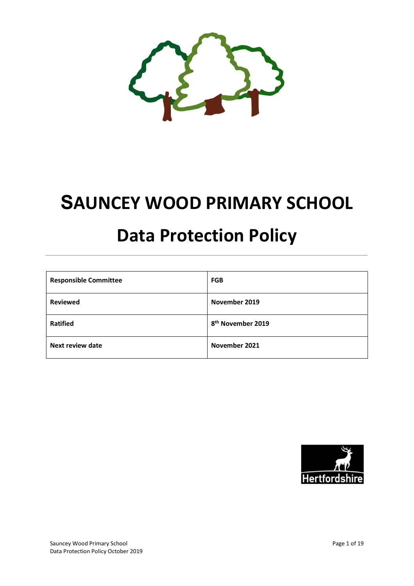

# SAUNCEY WOOD PRIMARY SCHOOL

# Data Protection Policy

| <b>Responsible Committee</b> | <b>FGB</b>                    |
|------------------------------|-------------------------------|
| <b>Reviewed</b>              | November 2019                 |
| <b>Ratified</b>              | 8 <sup>th</sup> November 2019 |
| <b>Next review date</b>      | November 2021                 |

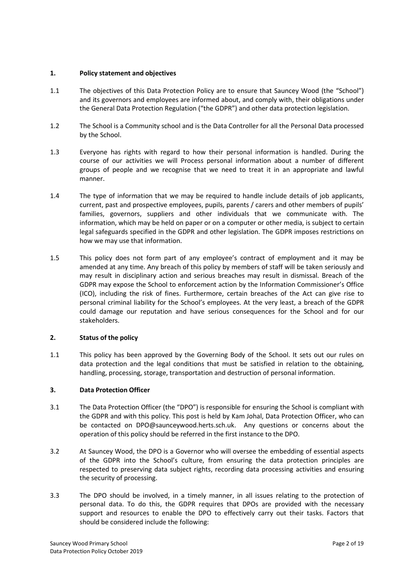# 1. Policy statement and objectives

- 1.1 The objectives of this Data Protection Policy are to ensure that Sauncey Wood (the "School") and its governors and employees are informed about, and comply with, their obligations under the General Data Protection Regulation ("the GDPR") and other data protection legislation.
- 1.2 The School is a Community school and is the Data Controller for all the Personal Data processed by the School.
- 1.3 Everyone has rights with regard to how their personal information is handled. During the course of our activities we will Process personal information about a number of different groups of people and we recognise that we need to treat it in an appropriate and lawful manner.
- 1.4 The type of information that we may be required to handle include details of job applicants, current, past and prospective employees, pupils, parents / carers and other members of pupils' families, governors, suppliers and other individuals that we communicate with. The information, which may be held on paper or on a computer or other media, is subject to certain legal safeguards specified in the GDPR and other legislation. The GDPR imposes restrictions on how we may use that information.
- 1.5 This policy does not form part of any employee's contract of employment and it may be amended at any time. Any breach of this policy by members of staff will be taken seriously and may result in disciplinary action and serious breaches may result in dismissal. Breach of the GDPR may expose the School to enforcement action by the Information Commissioner's Office (ICO), including the risk of fines. Furthermore, certain breaches of the Act can give rise to personal criminal liability for the School's employees. At the very least, a breach of the GDPR could damage our reputation and have serious consequences for the School and for our stakeholders.

# 2. Status of the policy

1.1 This policy has been approved by the Governing Body of the School. It sets out our rules on data protection and the legal conditions that must be satisfied in relation to the obtaining, handling, processing, storage, transportation and destruction of personal information.

#### 3. Data Protection Officer

- 3.1 The Data Protection Officer (the "DPO") is responsible for ensuring the School is compliant with the GDPR and with this policy. This post is held by Kam Johal, Data Protection Officer, who can be contacted on DPO@saunceywood.herts.sch.uk. Any questions or concerns about the operation of this policy should be referred in the first instance to the DPO.
- 3.2 At Sauncey Wood, the DPO is a Governor who will oversee the embedding of essential aspects of the GDPR into the School's culture, from ensuring the data protection principles are respected to preserving data subject rights, recording data processing activities and ensuring the security of processing.
- 3.3 The DPO should be involved, in a timely manner, in all issues relating to the protection of personal data. To do this, the GDPR requires that DPOs are provided with the necessary support and resources to enable the DPO to effectively carry out their tasks. Factors that should be considered include the following: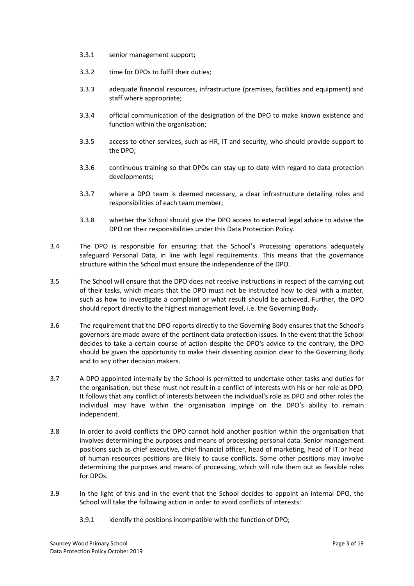- 3.3.1 senior management support;
- 3.3.2 time for DPOs to fulfil their duties;
- 3.3.3 adequate financial resources, infrastructure (premises, facilities and equipment) and staff where appropriate;
- 3.3.4 official communication of the designation of the DPO to make known existence and function within the organisation;
- 3.3.5 access to other services, such as HR, IT and security, who should provide support to the DPO;
- 3.3.6 continuous training so that DPOs can stay up to date with regard to data protection developments;
- 3.3.7 where a DPO team is deemed necessary, a clear infrastructure detailing roles and responsibilities of each team member;
- 3.3.8 whether the School should give the DPO access to external legal advice to advise the DPO on their responsibilities under this Data Protection Policy.
- 3.4 The DPO is responsible for ensuring that the School's Processing operations adequately safeguard Personal Data, in line with legal requirements. This means that the governance structure within the School must ensure the independence of the DPO.
- 3.5 The School will ensure that the DPO does not receive instructions in respect of the carrying out of their tasks, which means that the DPO must not be instructed how to deal with a matter, such as how to investigate a complaint or what result should be achieved. Further, the DPO should report directly to the highest management level, i.e. the Governing Body.
- 3.6 The requirement that the DPO reports directly to the Governing Body ensures that the School's governors are made aware of the pertinent data protection issues. In the event that the School decides to take a certain course of action despite the DPO's advice to the contrary, the DPO should be given the opportunity to make their dissenting opinion clear to the Governing Body and to any other decision makers.
- 3.7 A DPO appointed internally by the School is permitted to undertake other tasks and duties for the organisation, but these must not result in a conflict of interests with his or her role as DPO. It follows that any conflict of interests between the individual's role as DPO and other roles the individual may have within the organisation impinge on the DPO's ability to remain independent.
- 3.8 In order to avoid conflicts the DPO cannot hold another position within the organisation that involves determining the purposes and means of processing personal data. Senior management positions such as chief executive, chief financial officer, head of marketing, head of IT or head of human resources positions are likely to cause conflicts. Some other positions may involve determining the purposes and means of processing, which will rule them out as feasible roles for DPOs.
- 3.9 In the light of this and in the event that the School decides to appoint an internal DPO, the School will take the following action in order to avoid conflicts of interests:
	- 3.9.1 identify the positions incompatible with the function of DPO;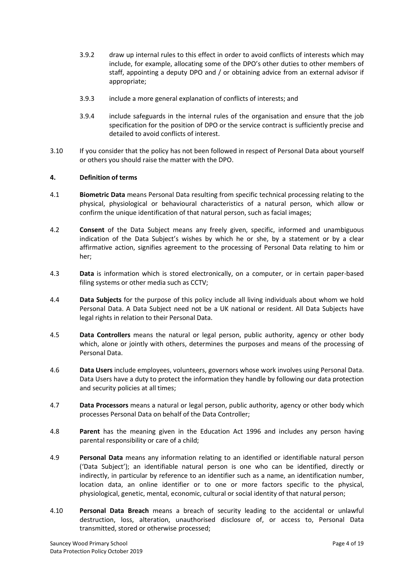- 3.9.2 draw up internal rules to this effect in order to avoid conflicts of interests which may include, for example, allocating some of the DPO's other duties to other members of staff, appointing a deputy DPO and / or obtaining advice from an external advisor if appropriate;
- 3.9.3 include a more general explanation of conflicts of interests; and
- 3.9.4 include safeguards in the internal rules of the organisation and ensure that the job specification for the position of DPO or the service contract is sufficiently precise and detailed to avoid conflicts of interest.
- 3.10 If you consider that the policy has not been followed in respect of Personal Data about yourself or others you should raise the matter with the DPO.

#### 4. Definition of terms

- 4.1 Biometric Data means Personal Data resulting from specific technical processing relating to the physical, physiological or behavioural characteristics of a natural person, which allow or confirm the unique identification of that natural person, such as facial images;
- 4.2 **Consent** of the Data Subject means any freely given, specific, informed and unambiguous indication of the Data Subject's wishes by which he or she, by a statement or by a clear affirmative action, signifies agreement to the processing of Personal Data relating to him or her;
- 4.3 **Data** is information which is stored electronically, on a computer, or in certain paper-based filing systems or other media such as CCTV;
- 4.4 **Data Subjects** for the purpose of this policy include all living individuals about whom we hold Personal Data. A Data Subject need not be a UK national or resident. All Data Subjects have legal rights in relation to their Personal Data.
- 4.5 Data Controllers means the natural or legal person, public authority, agency or other body which, alone or jointly with others, determines the purposes and means of the processing of Personal Data.
- 4.6 Data Users include employees, volunteers, governors whose work involves using Personal Data. Data Users have a duty to protect the information they handle by following our data protection and security policies at all times;
- 4.7 Data Processors means a natural or legal person, public authority, agency or other body which processes Personal Data on behalf of the Data Controller;
- 4.8 **Parent** has the meaning given in the Education Act 1996 and includes any person having parental responsibility or care of a child;
- 4.9 Personal Data means any information relating to an identified or identifiable natural person ('Data Subject'); an identifiable natural person is one who can be identified, directly or indirectly, in particular by reference to an identifier such as a name, an identification number, location data, an online identifier or to one or more factors specific to the physical, physiological, genetic, mental, economic, cultural or social identity of that natural person;
- 4.10 Personal Data Breach means a breach of security leading to the accidental or unlawful destruction, loss, alteration, unauthorised disclosure of, or access to, Personal Data transmitted, stored or otherwise processed;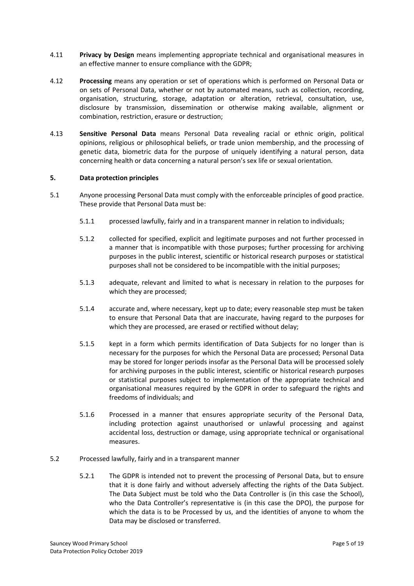- 4.11 Privacy by Design means implementing appropriate technical and organisational measures in an effective manner to ensure compliance with the GDPR;
- 4.12 Processing means any operation or set of operations which is performed on Personal Data or on sets of Personal Data, whether or not by automated means, such as collection, recording, organisation, structuring, storage, adaptation or alteration, retrieval, consultation, use, disclosure by transmission, dissemination or otherwise making available, alignment or combination, restriction, erasure or destruction;
- 4.13 Sensitive Personal Data means Personal Data revealing racial or ethnic origin, political opinions, religious or philosophical beliefs, or trade union membership, and the processing of genetic data, biometric data for the purpose of uniquely identifying a natural person, data concerning health or data concerning a natural person's sex life or sexual orientation.

# 5. Data protection principles

- 5.1 Anyone processing Personal Data must comply with the enforceable principles of good practice. These provide that Personal Data must be:
	- 5.1.1 processed lawfully, fairly and in a transparent manner in relation to individuals;
	- 5.1.2 collected for specified, explicit and legitimate purposes and not further processed in a manner that is incompatible with those purposes; further processing for archiving purposes in the public interest, scientific or historical research purposes or statistical purposes shall not be considered to be incompatible with the initial purposes;
	- 5.1.3 adequate, relevant and limited to what is necessary in relation to the purposes for which they are processed;
	- 5.1.4 accurate and, where necessary, kept up to date; every reasonable step must be taken to ensure that Personal Data that are inaccurate, having regard to the purposes for which they are processed, are erased or rectified without delay;
	- 5.1.5 kept in a form which permits identification of Data Subjects for no longer than is necessary for the purposes for which the Personal Data are processed; Personal Data may be stored for longer periods insofar as the Personal Data will be processed solely for archiving purposes in the public interest, scientific or historical research purposes or statistical purposes subject to implementation of the appropriate technical and organisational measures required by the GDPR in order to safeguard the rights and freedoms of individuals; and
	- 5.1.6 Processed in a manner that ensures appropriate security of the Personal Data, including protection against unauthorised or unlawful processing and against accidental loss, destruction or damage, using appropriate technical or organisational measures.
- 5.2 Processed lawfully, fairly and in a transparent manner
	- 5.2.1 The GDPR is intended not to prevent the processing of Personal Data, but to ensure that it is done fairly and without adversely affecting the rights of the Data Subject. The Data Subject must be told who the Data Controller is (in this case the School), who the Data Controller's representative is (in this case the DPO), the purpose for which the data is to be Processed by us, and the identities of anyone to whom the Data may be disclosed or transferred.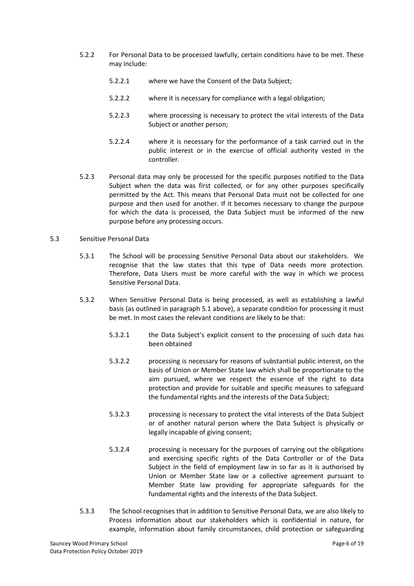- 5.2.2 For Personal Data to be processed lawfully, certain conditions have to be met. These may include:
	- 5.2.2.1 where we have the Consent of the Data Subject;
	- 5.2.2.2 where it is necessary for compliance with a legal obligation;
	- 5.2.2.3 where processing is necessary to protect the vital interests of the Data Subject or another person;
	- 5.2.2.4 where it is necessary for the performance of a task carried out in the public interest or in the exercise of official authority vested in the controller.
- 5.2.3 Personal data may only be processed for the specific purposes notified to the Data Subject when the data was first collected, or for any other purposes specifically permitted by the Act. This means that Personal Data must not be collected for one purpose and then used for another. If it becomes necessary to change the purpose for which the data is processed, the Data Subject must be informed of the new purpose before any processing occurs.
- 5.3 Sensitive Personal Data
	- 5.3.1 The School will be processing Sensitive Personal Data about our stakeholders. We recognise that the law states that this type of Data needs more protection. Therefore, Data Users must be more careful with the way in which we process Sensitive Personal Data.
	- 5.3.2 When Sensitive Personal Data is being processed, as well as establishing a lawful basis (as outlined in paragraph 5.1 above), a separate condition for processing it must be met. In most cases the relevant conditions are likely to be that:
		- 5.3.2.1 the Data Subject's explicit consent to the processing of such data has been obtained
		- 5.3.2.2 processing is necessary for reasons of substantial public interest, on the basis of Union or Member State law which shall be proportionate to the aim pursued, where we respect the essence of the right to data protection and provide for suitable and specific measures to safeguard the fundamental rights and the interests of the Data Subject;
		- 5.3.2.3 processing is necessary to protect the vital interests of the Data Subject or of another natural person where the Data Subject is physically or legally incapable of giving consent;
		- 5.3.2.4 processing is necessary for the purposes of carrying out the obligations and exercising specific rights of the Data Controller or of the Data Subject in the field of employment law in so far as it is authorised by Union or Member State law or a collective agreement pursuant to Member State law providing for appropriate safeguards for the fundamental rights and the interests of the Data Subject.
	- 5.3.3 The School recognises that in addition to Sensitive Personal Data, we are also likely to Process information about our stakeholders which is confidential in nature, for example, information about family circumstances, child protection or safeguarding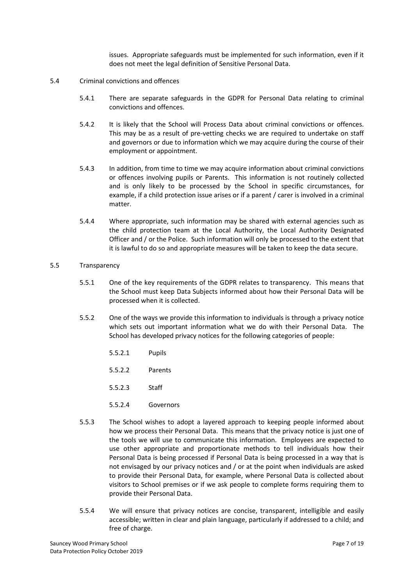issues. Appropriate safeguards must be implemented for such information, even if it does not meet the legal definition of Sensitive Personal Data.

- 5.4 Criminal convictions and offences
	- 5.4.1 There are separate safeguards in the GDPR for Personal Data relating to criminal convictions and offences.
	- 5.4.2 It is likely that the School will Process Data about criminal convictions or offences. This may be as a result of pre-vetting checks we are required to undertake on staff and governors or due to information which we may acquire during the course of their employment or appointment.
	- 5.4.3 In addition, from time to time we may acquire information about criminal convictions or offences involving pupils or Parents. This information is not routinely collected and is only likely to be processed by the School in specific circumstances, for example, if a child protection issue arises or if a parent / carer is involved in a criminal matter.
	- 5.4.4 Where appropriate, such information may be shared with external agencies such as the child protection team at the Local Authority, the Local Authority Designated Officer and / or the Police. Such information will only be processed to the extent that it is lawful to do so and appropriate measures will be taken to keep the data secure.

#### 5.5 Transparency

- 5.5.1 One of the key requirements of the GDPR relates to transparency. This means that the School must keep Data Subjects informed about how their Personal Data will be processed when it is collected.
- 5.5.2 One of the ways we provide this information to individuals is through a privacy notice which sets out important information what we do with their Personal Data. The School has developed privacy notices for the following categories of people:
	- 5.5.2.1 Pupils
	- 5.5.2.2 Parents
	- 5.5.2.3 Staff
	- 5.5.2.4 Governors
- 5.5.3 The School wishes to adopt a layered approach to keeping people informed about how we process their Personal Data. This means that the privacy notice is just one of the tools we will use to communicate this information. Employees are expected to use other appropriate and proportionate methods to tell individuals how their Personal Data is being processed if Personal Data is being processed in a way that is not envisaged by our privacy notices and / or at the point when individuals are asked to provide their Personal Data, for example, where Personal Data is collected about visitors to School premises or if we ask people to complete forms requiring them to provide their Personal Data.
- 5.5.4 We will ensure that privacy notices are concise, transparent, intelligible and easily accessible; written in clear and plain language, particularly if addressed to a child; and free of charge.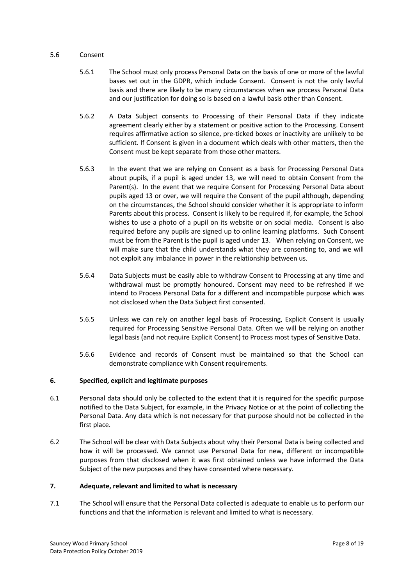#### 5.6 Consent

- 5.6.1 The School must only process Personal Data on the basis of one or more of the lawful bases set out in the GDPR, which include Consent. Consent is not the only lawful basis and there are likely to be many circumstances when we process Personal Data and our justification for doing so is based on a lawful basis other than Consent.
- 5.6.2 A Data Subject consents to Processing of their Personal Data if they indicate agreement clearly either by a statement or positive action to the Processing. Consent requires affirmative action so silence, pre-ticked boxes or inactivity are unlikely to be sufficient. If Consent is given in a document which deals with other matters, then the Consent must be kept separate from those other matters.
- 5.6.3 In the event that we are relying on Consent as a basis for Processing Personal Data about pupils, if a pupil is aged under 13, we will need to obtain Consent from the Parent(s). In the event that we require Consent for Processing Personal Data about pupils aged 13 or over, we will require the Consent of the pupil although, depending on the circumstances, the School should consider whether it is appropriate to inform Parents about this process. Consent is likely to be required if, for example, the School wishes to use a photo of a pupil on its website or on social media. Consent is also required before any pupils are signed up to online learning platforms. Such Consent must be from the Parent is the pupil is aged under 13. When relying on Consent, we will make sure that the child understands what they are consenting to, and we will not exploit any imbalance in power in the relationship between us.
- 5.6.4 Data Subjects must be easily able to withdraw Consent to Processing at any time and withdrawal must be promptly honoured. Consent may need to be refreshed if we intend to Process Personal Data for a different and incompatible purpose which was not disclosed when the Data Subject first consented.
- 5.6.5 Unless we can rely on another legal basis of Processing, Explicit Consent is usually required for Processing Sensitive Personal Data. Often we will be relying on another legal basis (and not require Explicit Consent) to Process most types of Sensitive Data.
- 5.6.6 Evidence and records of Consent must be maintained so that the School can demonstrate compliance with Consent requirements.

# 6. Specified, explicit and legitimate purposes

- 6.1 Personal data should only be collected to the extent that it is required for the specific purpose notified to the Data Subject, for example, in the Privacy Notice or at the point of collecting the Personal Data. Any data which is not necessary for that purpose should not be collected in the first place.
- 6.2 The School will be clear with Data Subjects about why their Personal Data is being collected and how it will be processed. We cannot use Personal Data for new, different or incompatible purposes from that disclosed when it was first obtained unless we have informed the Data Subject of the new purposes and they have consented where necessary.

# 7. Adequate, relevant and limited to what is necessary

7.1 The School will ensure that the Personal Data collected is adequate to enable us to perform our functions and that the information is relevant and limited to what is necessary.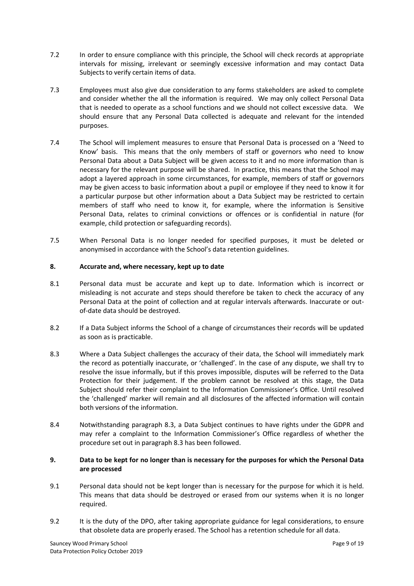- 7.2 In order to ensure compliance with this principle, the School will check records at appropriate intervals for missing, irrelevant or seemingly excessive information and may contact Data Subjects to verify certain items of data.
- 7.3 Employees must also give due consideration to any forms stakeholders are asked to complete and consider whether the all the information is required. We may only collect Personal Data that is needed to operate as a school functions and we should not collect excessive data. We should ensure that any Personal Data collected is adequate and relevant for the intended purposes.
- 7.4 The School will implement measures to ensure that Personal Data is processed on a 'Need to Know' basis. This means that the only members of staff or governors who need to know Personal Data about a Data Subject will be given access to it and no more information than is necessary for the relevant purpose will be shared. In practice, this means that the School may adopt a layered approach in some circumstances, for example, members of staff or governors may be given access to basic information about a pupil or employee if they need to know it for a particular purpose but other information about a Data Subject may be restricted to certain members of staff who need to know it, for example, where the information is Sensitive Personal Data, relates to criminal convictions or offences or is confidential in nature (for example, child protection or safeguarding records).
- 7.5 When Personal Data is no longer needed for specified purposes, it must be deleted or anonymised in accordance with the School's data retention guidelines.

# 8. Accurate and, where necessary, kept up to date

- 8.1 Personal data must be accurate and kept up to date. Information which is incorrect or misleading is not accurate and steps should therefore be taken to check the accuracy of any Personal Data at the point of collection and at regular intervals afterwards. Inaccurate or outof-date data should be destroyed.
- 8.2 If a Data Subject informs the School of a change of circumstances their records will be updated as soon as is practicable.
- 8.3 Where a Data Subject challenges the accuracy of their data, the School will immediately mark the record as potentially inaccurate, or 'challenged'. In the case of any dispute, we shall try to resolve the issue informally, but if this proves impossible, disputes will be referred to the Data Protection for their judgement. If the problem cannot be resolved at this stage, the Data Subject should refer their complaint to the Information Commissioner's Office. Until resolved the 'challenged' marker will remain and all disclosures of the affected information will contain both versions of the information.
- 8.4 Notwithstanding paragraph 8.3, a Data Subject continues to have rights under the GDPR and may refer a complaint to the Information Commissioner's Office regardless of whether the procedure set out in paragraph 8.3 has been followed.

# 9. Data to be kept for no longer than is necessary for the purposes for which the Personal Data are processed

- 9.1 Personal data should not be kept longer than is necessary for the purpose for which it is held. This means that data should be destroyed or erased from our systems when it is no longer required.
- 9.2 It is the duty of the DPO, after taking appropriate guidance for legal considerations, to ensure that obsolete data are properly erased. The School has a retention schedule for all data.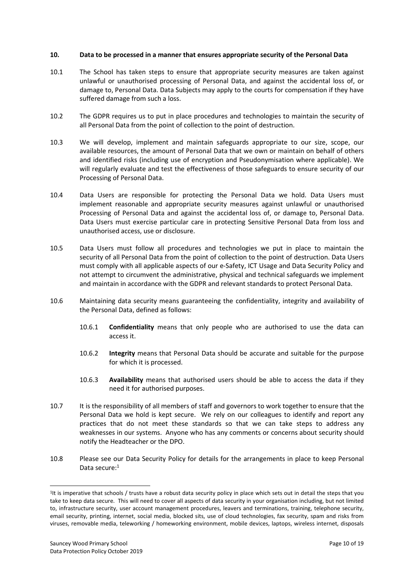#### 10. Data to be processed in a manner that ensures appropriate security of the Personal Data

- 10.1 The School has taken steps to ensure that appropriate security measures are taken against unlawful or unauthorised processing of Personal Data, and against the accidental loss of, or damage to, Personal Data. Data Subjects may apply to the courts for compensation if they have suffered damage from such a loss.
- 10.2 The GDPR requires us to put in place procedures and technologies to maintain the security of all Personal Data from the point of collection to the point of destruction.
- 10.3 We will develop, implement and maintain safeguards appropriate to our size, scope, our available resources, the amount of Personal Data that we own or maintain on behalf of others and identified risks (including use of encryption and Pseudonymisation where applicable). We will regularly evaluate and test the effectiveness of those safeguards to ensure security of our Processing of Personal Data.
- 10.4 Data Users are responsible for protecting the Personal Data we hold. Data Users must implement reasonable and appropriate security measures against unlawful or unauthorised Processing of Personal Data and against the accidental loss of, or damage to, Personal Data. Data Users must exercise particular care in protecting Sensitive Personal Data from loss and unauthorised access, use or disclosure.
- 10.5 Data Users must follow all procedures and technologies we put in place to maintain the security of all Personal Data from the point of collection to the point of destruction. Data Users must comply with all applicable aspects of our e-Safety, ICT Usage and Data Security Policy and not attempt to circumvent the administrative, physical and technical safeguards we implement and maintain in accordance with the GDPR and relevant standards to protect Personal Data.
- 10.6 Maintaining data security means guaranteeing the confidentiality, integrity and availability of the Personal Data, defined as follows:
	- 10.6.1 Confidentiality means that only people who are authorised to use the data can access it.
	- 10.6.2 Integrity means that Personal Data should be accurate and suitable for the purpose for which it is processed.
	- 10.6.3 Availability means that authorised users should be able to access the data if they need it for authorised purposes.
- 10.7 It is the responsibility of all members of staff and governors to work together to ensure that the Personal Data we hold is kept secure. We rely on our colleagues to identify and report any practices that do not meet these standards so that we can take steps to address any weaknesses in our systems. Anyone who has any comments or concerns about security should notify the Headteacher or the DPO.
- 10.8 Please see our Data Security Policy for details for the arrangements in place to keep Personal Data secure:<sup>1</sup>

<sup>&</sup>lt;sup>1</sup>It is imperative that schools / trusts have a robust data security policy in place which sets out in detail the steps that you take to keep data secure. This will need to cover all aspects of data security in your organisation including, but not limited to, infrastructure security, user account management procedures, leavers and terminations, training, telephone security, email security, printing, internet, social media, blocked sits, use of cloud technologies, fax security, spam and risks from viruses, removable media, teleworking / homeworking environment, mobile devices, laptops, wireless internet, disposals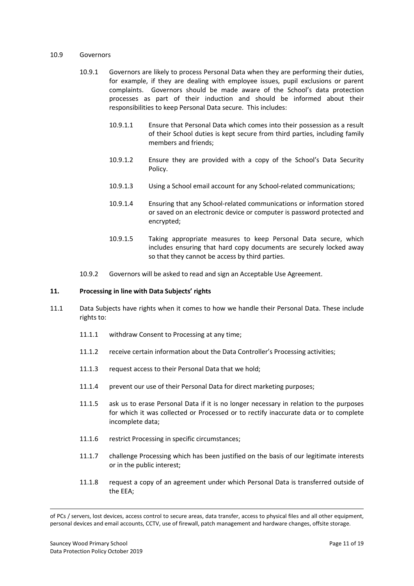#### 10.9 Governors

- 10.9.1 Governors are likely to process Personal Data when they are performing their duties, for example, if they are dealing with employee issues, pupil exclusions or parent complaints. Governors should be made aware of the School's data protection processes as part of their induction and should be informed about their responsibilities to keep Personal Data secure. This includes:
	- 10.9.1.1 Ensure that Personal Data which comes into their possession as a result of their School duties is kept secure from third parties, including family members and friends;
	- 10.9.1.2 Ensure they are provided with a copy of the School's Data Security Policy.
	- 10.9.1.3 Using a School email account for any School-related communications;
	- 10.9.1.4 Ensuring that any School-related communications or information stored or saved on an electronic device or computer is password protected and encrypted;
	- 10.9.1.5 Taking appropriate measures to keep Personal Data secure, which includes ensuring that hard copy documents are securely locked away so that they cannot be access by third parties.
- 10.9.2 Governors will be asked to read and sign an Acceptable Use Agreement.

#### 11. Processing in line with Data Subjects' rights

- 11.1 Data Subjects have rights when it comes to how we handle their Personal Data. These include rights to:
	- 11.1.1 withdraw Consent to Processing at any time;
	- 11.1.2 receive certain information about the Data Controller's Processing activities;
	- 11.1.3 request access to their Personal Data that we hold;
	- 11.1.4 prevent our use of their Personal Data for direct marketing purposes;
	- 11.1.5 ask us to erase Personal Data if it is no longer necessary in relation to the purposes for which it was collected or Processed or to rectify inaccurate data or to complete incomplete data;
	- 11.1.6 restrict Processing in specific circumstances;
	- 11.1.7 challenge Processing which has been justified on the basis of our legitimate interests or in the public interest;
	- 11.1.8 request a copy of an agreement under which Personal Data is transferred outside of the EEA;

of PCs / servers, lost devices, access control to secure areas, data transfer, access to physical files and all other equipment, personal devices and email accounts, CCTV, use of firewall, patch management and hardware changes, offsite storage.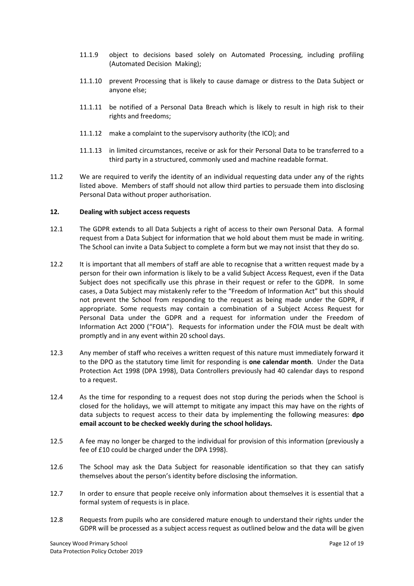- 11.1.9 object to decisions based solely on Automated Processing, including profiling (Automated Decision Making);
- 11.1.10 prevent Processing that is likely to cause damage or distress to the Data Subject or anyone else;
- 11.1.11 be notified of a Personal Data Breach which is likely to result in high risk to their rights and freedoms;
- 11.1.12 make a complaint to the supervisory authority (the ICO); and
- 11.1.13 in limited circumstances, receive or ask for their Personal Data to be transferred to a third party in a structured, commonly used and machine readable format.
- 11.2 We are required to verify the identity of an individual requesting data under any of the rights listed above. Members of staff should not allow third parties to persuade them into disclosing Personal Data without proper authorisation.

#### 12. Dealing with subject access requests

- 12.1 The GDPR extends to all Data Subjects a right of access to their own Personal Data. A formal request from a Data Subject for information that we hold about them must be made in writing. The School can invite a Data Subject to complete a form but we may not insist that they do so.
- 12.2 It is important that all members of staff are able to recognise that a written request made by a person for their own information is likely to be a valid Subject Access Request, even if the Data Subject does not specifically use this phrase in their request or refer to the GDPR. In some cases, a Data Subject may mistakenly refer to the "Freedom of Information Act" but this should not prevent the School from responding to the request as being made under the GDPR, if appropriate. Some requests may contain a combination of a Subject Access Request for Personal Data under the GDPR and a request for information under the Freedom of Information Act 2000 ("FOIA"). Requests for information under the FOIA must be dealt with promptly and in any event within 20 school days.
- 12.3 Any member of staff who receives a written request of this nature must immediately forward it to the DPO as the statutory time limit for responding is one calendar month. Under the Data Protection Act 1998 (DPA 1998), Data Controllers previously had 40 calendar days to respond to a request.
- 12.4 As the time for responding to a request does not stop during the periods when the School is closed for the holidays, we will attempt to mitigate any impact this may have on the rights of data subjects to request access to their data by implementing the following measures: dpo email account to be checked weekly during the school holidays.
- 12.5 A fee may no longer be charged to the individual for provision of this information (previously a fee of £10 could be charged under the DPA 1998).
- 12.6 The School may ask the Data Subject for reasonable identification so that they can satisfy themselves about the person's identity before disclosing the information.
- 12.7 In order to ensure that people receive only information about themselves it is essential that a formal system of requests is in place.
- 12.8 Requests from pupils who are considered mature enough to understand their rights under the GDPR will be processed as a subject access request as outlined below and the data will be given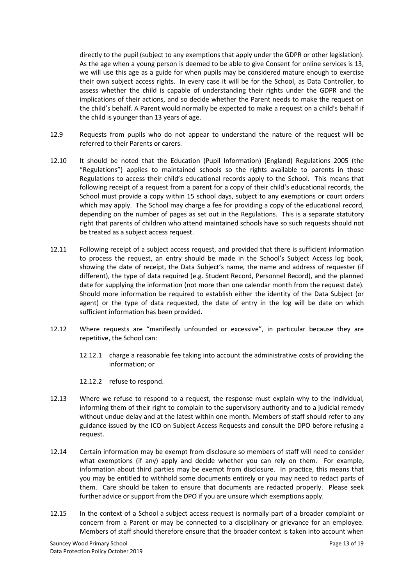directly to the pupil (subject to any exemptions that apply under the GDPR or other legislation). As the age when a young person is deemed to be able to give Consent for online services is 13, we will use this age as a guide for when pupils may be considered mature enough to exercise their own subject access rights. In every case it will be for the School, as Data Controller, to assess whether the child is capable of understanding their rights under the GDPR and the implications of their actions, and so decide whether the Parent needs to make the request on the child's behalf. A Parent would normally be expected to make a request on a child's behalf if the child is younger than 13 years of age.

- 12.9 Requests from pupils who do not appear to understand the nature of the request will be referred to their Parents or carers.
- 12.10 It should be noted that the Education (Pupil Information) (England) Regulations 2005 (the "Regulations") applies to maintained schools so the rights available to parents in those Regulations to access their child's educational records apply to the School. This means that following receipt of a request from a parent for a copy of their child's educational records, the School must provide a copy within 15 school days, subject to any exemptions or court orders which may apply. The School may charge a fee for providing a copy of the educational record, depending on the number of pages as set out in the Regulations. This is a separate statutory right that parents of children who attend maintained schools have so such requests should not be treated as a subject access request.
- 12.11 Following receipt of a subject access request, and provided that there is sufficient information to process the request, an entry should be made in the School's Subject Access log book, showing the date of receipt, the Data Subject's name, the name and address of requester (if different), the type of data required (e.g. Student Record, Personnel Record), and the planned date for supplying the information (not more than one calendar month from the request date). Should more information be required to establish either the identity of the Data Subject (or agent) or the type of data requested, the date of entry in the log will be date on which sufficient information has been provided.
- 12.12 Where requests are "manifestly unfounded or excessive", in particular because they are repetitive, the School can:
	- 12.12.1 charge a reasonable fee taking into account the administrative costs of providing the information; or
	- 12.12.2 refuse to respond.
- 12.13 Where we refuse to respond to a request, the response must explain why to the individual, informing them of their right to complain to the supervisory authority and to a judicial remedy without undue delay and at the latest within one month. Members of staff should refer to any guidance issued by the ICO on Subject Access Requests and consult the DPO before refusing a request.
- 12.14 Certain information may be exempt from disclosure so members of staff will need to consider what exemptions (if any) apply and decide whether you can rely on them. For example, information about third parties may be exempt from disclosure. In practice, this means that you may be entitled to withhold some documents entirely or you may need to redact parts of them. Care should be taken to ensure that documents are redacted properly. Please seek further advice or support from the DPO if you are unsure which exemptions apply.
- 12.15 In the context of a School a subject access request is normally part of a broader complaint or concern from a Parent or may be connected to a disciplinary or grievance for an employee. Members of staff should therefore ensure that the broader context is taken into account when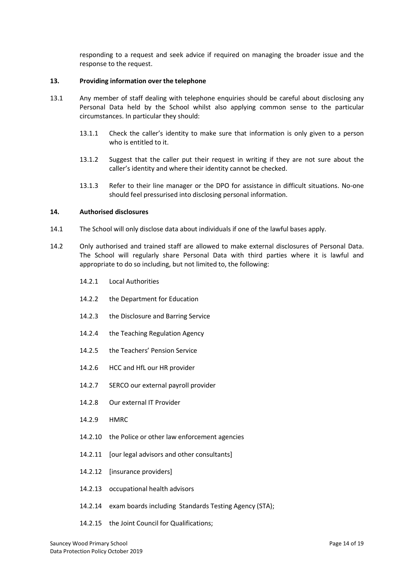responding to a request and seek advice if required on managing the broader issue and the response to the request.

# 13. Providing information over the telephone

- 13.1 Any member of staff dealing with telephone enquiries should be careful about disclosing any Personal Data held by the School whilst also applying common sense to the particular circumstances. In particular they should:
	- 13.1.1 Check the caller's identity to make sure that information is only given to a person who is entitled to it.
	- 13.1.2 Suggest that the caller put their request in writing if they are not sure about the caller's identity and where their identity cannot be checked.
	- 13.1.3 Refer to their line manager or the DPO for assistance in difficult situations. No-one should feel pressurised into disclosing personal information.

# 14. Authorised disclosures

- 14.1 The School will only disclose data about individuals if one of the lawful bases apply.
- 14.2 Only authorised and trained staff are allowed to make external disclosures of Personal Data. The School will regularly share Personal Data with third parties where it is lawful and appropriate to do so including, but not limited to, the following:
	- 14.2.1 Local Authorities
	- 14.2.2 the Department for Education
	- 14.2.3 the Disclosure and Barring Service
	- 14.2.4 the Teaching Regulation Agency
	- 14.2.5 the Teachers' Pension Service
	- 14.2.6 HCC and HfL our HR provider
	- 14.2.7 SERCO our external payroll provider
	- 14.2.8 Our external IT Provider
	- 14.2.9 HMRC
	- 14.2.10 the Police or other law enforcement agencies
	- 14.2.11 [our legal advisors and other consultants]
	- 14.2.12 [insurance providers]
	- 14.2.13 occupational health advisors
	- 14.2.14 exam boards including Standards Testing Agency (STA);
	- 14.2.15 the Joint Council for Qualifications;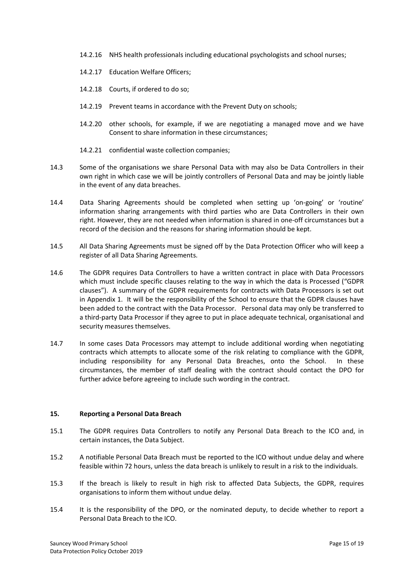- 14.2.16 NHS health professionals including educational psychologists and school nurses;
- 14.2.17 Education Welfare Officers;
- 14.2.18 Courts, if ordered to do so;
- 14.2.19 Prevent teams in accordance with the Prevent Duty on schools;
- 14.2.20 other schools, for example, if we are negotiating a managed move and we have Consent to share information in these circumstances;
- 14.2.21 confidential waste collection companies;
- 14.3 Some of the organisations we share Personal Data with may also be Data Controllers in their own right in which case we will be jointly controllers of Personal Data and may be jointly liable in the event of any data breaches.
- 14.4 Data Sharing Agreements should be completed when setting up 'on-going' or 'routine' information sharing arrangements with third parties who are Data Controllers in their own right. However, they are not needed when information is shared in one-off circumstances but a record of the decision and the reasons for sharing information should be kept.
- 14.5 All Data Sharing Agreements must be signed off by the Data Protection Officer who will keep a register of all Data Sharing Agreements.
- 14.6 The GDPR requires Data Controllers to have a written contract in place with Data Processors which must include specific clauses relating to the way in which the data is Processed ("GDPR clauses"). A summary of the GDPR requirements for contracts with Data Processors is set out in Appendix 1. It will be the responsibility of the School to ensure that the GDPR clauses have been added to the contract with the Data Processor. Personal data may only be transferred to a third-party Data Processor if they agree to put in place adequate technical, organisational and security measures themselves.
- 14.7 In some cases Data Processors may attempt to include additional wording when negotiating contracts which attempts to allocate some of the risk relating to compliance with the GDPR, including responsibility for any Personal Data Breaches, onto the School. In these circumstances, the member of staff dealing with the contract should contact the DPO for further advice before agreeing to include such wording in the contract.

# 15. Reporting a Personal Data Breach

- 15.1 The GDPR requires Data Controllers to notify any Personal Data Breach to the ICO and, in certain instances, the Data Subject.
- 15.2 A notifiable Personal Data Breach must be reported to the ICO without undue delay and where feasible within 72 hours, unless the data breach is unlikely to result in a risk to the individuals.
- 15.3 If the breach is likely to result in high risk to affected Data Subjects, the GDPR, requires organisations to inform them without undue delay.
- 15.4 It is the responsibility of the DPO, or the nominated deputy, to decide whether to report a Personal Data Breach to the ICO.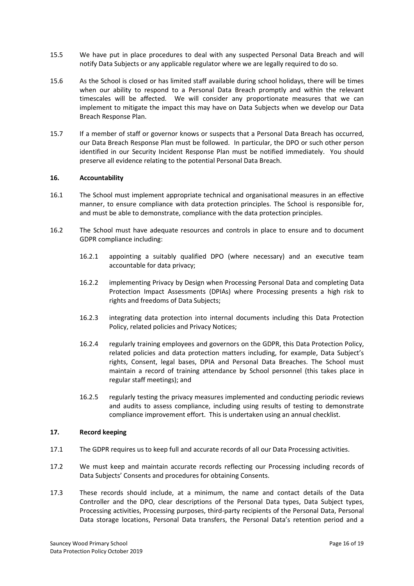- 15.5 We have put in place procedures to deal with any suspected Personal Data Breach and will notify Data Subjects or any applicable regulator where we are legally required to do so.
- 15.6 As the School is closed or has limited staff available during school holidays, there will be times when our ability to respond to a Personal Data Breach promptly and within the relevant timescales will be affected. We will consider any proportionate measures that we can implement to mitigate the impact this may have on Data Subjects when we develop our Data Breach Response Plan.
- 15.7 If a member of staff or governor knows or suspects that a Personal Data Breach has occurred, our Data Breach Response Plan must be followed. In particular, the DPO or such other person identified in our Security Incident Response Plan must be notified immediately. You should preserve all evidence relating to the potential Personal Data Breach.

#### 16. Accountability

- 16.1 The School must implement appropriate technical and organisational measures in an effective manner, to ensure compliance with data protection principles. The School is responsible for, and must be able to demonstrate, compliance with the data protection principles.
- 16.2 The School must have adequate resources and controls in place to ensure and to document GDPR compliance including:
	- 16.2.1 appointing a suitably qualified DPO (where necessary) and an executive team accountable for data privacy;
	- 16.2.2 implementing Privacy by Design when Processing Personal Data and completing Data Protection Impact Assessments (DPIAs) where Processing presents a high risk to rights and freedoms of Data Subjects;
	- 16.2.3 integrating data protection into internal documents including this Data Protection Policy, related policies and Privacy Notices;
	- 16.2.4 regularly training employees and governors on the GDPR, this Data Protection Policy, related policies and data protection matters including, for example, Data Subject's rights, Consent, legal bases, DPIA and Personal Data Breaches. The School must maintain a record of training attendance by School personnel (this takes place in regular staff meetings); and
	- 16.2.5 regularly testing the privacy measures implemented and conducting periodic reviews and audits to assess compliance, including using results of testing to demonstrate compliance improvement effort. This is undertaken using an annual checklist.

#### 17. Record keeping

- 17.1 The GDPR requires us to keep full and accurate records of all our Data Processing activities.
- 17.2 We must keep and maintain accurate records reflecting our Processing including records of Data Subjects' Consents and procedures for obtaining Consents.
- 17.3 These records should include, at a minimum, the name and contact details of the Data Controller and the DPO, clear descriptions of the Personal Data types, Data Subject types, Processing activities, Processing purposes, third-party recipients of the Personal Data, Personal Data storage locations, Personal Data transfers, the Personal Data's retention period and a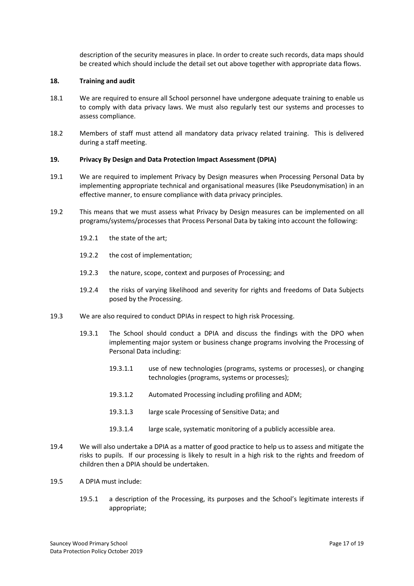description of the security measures in place. In order to create such records, data maps should be created which should include the detail set out above together with appropriate data flows.

## 18. Training and audit

- 18.1 We are required to ensure all School personnel have undergone adequate training to enable us to comply with data privacy laws. We must also regularly test our systems and processes to assess compliance.
- 18.2 Members of staff must attend all mandatory data privacy related training. This is delivered during a staff meeting.

# 19. Privacy By Design and Data Protection Impact Assessment (DPIA)

- 19.1 We are required to implement Privacy by Design measures when Processing Personal Data by implementing appropriate technical and organisational measures (like Pseudonymisation) in an effective manner, to ensure compliance with data privacy principles.
- 19.2 This means that we must assess what Privacy by Design measures can be implemented on all programs/systems/processes that Process Personal Data by taking into account the following:
	- 19.2.1 the state of the art;
	- 19.2.2 the cost of implementation;
	- 19.2.3 the nature, scope, context and purposes of Processing; and
	- 19.2.4 the risks of varying likelihood and severity for rights and freedoms of Data Subjects posed by the Processing.
- 19.3 We are also required to conduct DPIAs in respect to high risk Processing.
	- 19.3.1 The School should conduct a DPIA and discuss the findings with the DPO when implementing major system or business change programs involving the Processing of Personal Data including:
		- 19.3.1.1 use of new technologies (programs, systems or processes), or changing technologies (programs, systems or processes);
		- 19.3.1.2 Automated Processing including profiling and ADM;
		- 19.3.1.3 large scale Processing of Sensitive Data; and
		- 19.3.1.4 large scale, systematic monitoring of a publicly accessible area.
- 19.4 We will also undertake a DPIA as a matter of good practice to help us to assess and mitigate the risks to pupils. If our processing is likely to result in a high risk to the rights and freedom of children then a DPIA should be undertaken.
- 19.5 A DPIA must include:
	- 19.5.1 a description of the Processing, its purposes and the School's legitimate interests if appropriate;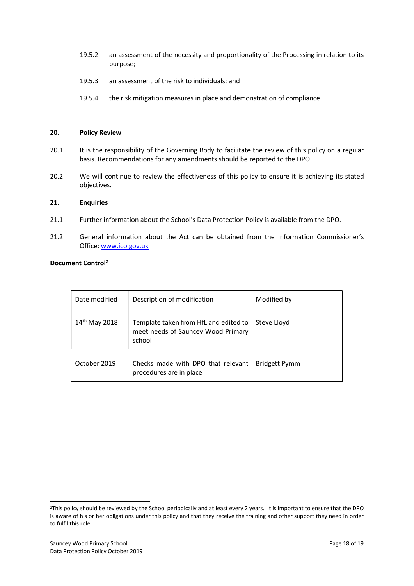- 19.5.2 an assessment of the necessity and proportionality of the Processing in relation to its purpose;
- 19.5.3 an assessment of the risk to individuals; and
- 19.5.4 the risk mitigation measures in place and demonstration of compliance.

### 20. Policy Review

- 20.1 It is the responsibility of the Governing Body to facilitate the review of this policy on a regular basis. Recommendations for any amendments should be reported to the DPO.
- 20.2 We will continue to review the effectiveness of this policy to ensure it is achieving its stated objectives.

#### 21. Enquiries

- 21.1 Further information about the School's Data Protection Policy is available from the DPO.
- 21.2 General information about the Act can be obtained from the Information Commissioner's Office: www.ico.gov.uk

# Document Control<sup>2</sup>

| Date modified             | Description of modification                                                           | Modified by   |
|---------------------------|---------------------------------------------------------------------------------------|---------------|
| 14 <sup>th</sup> May 2018 | Template taken from HfL and edited to<br>meet needs of Sauncey Wood Primary<br>school | Steve Lloyd   |
| October 2019              | Checks made with DPO that relevant<br>procedures are in place                         | Bridgett Pymm |

<sup>&</sup>lt;sup>2</sup>This policy should be reviewed by the School periodically and at least every 2 years. It is important to ensure that the DPO is aware of his or her obligations under this policy and that they receive the training and other support they need in order to fulfil this role.